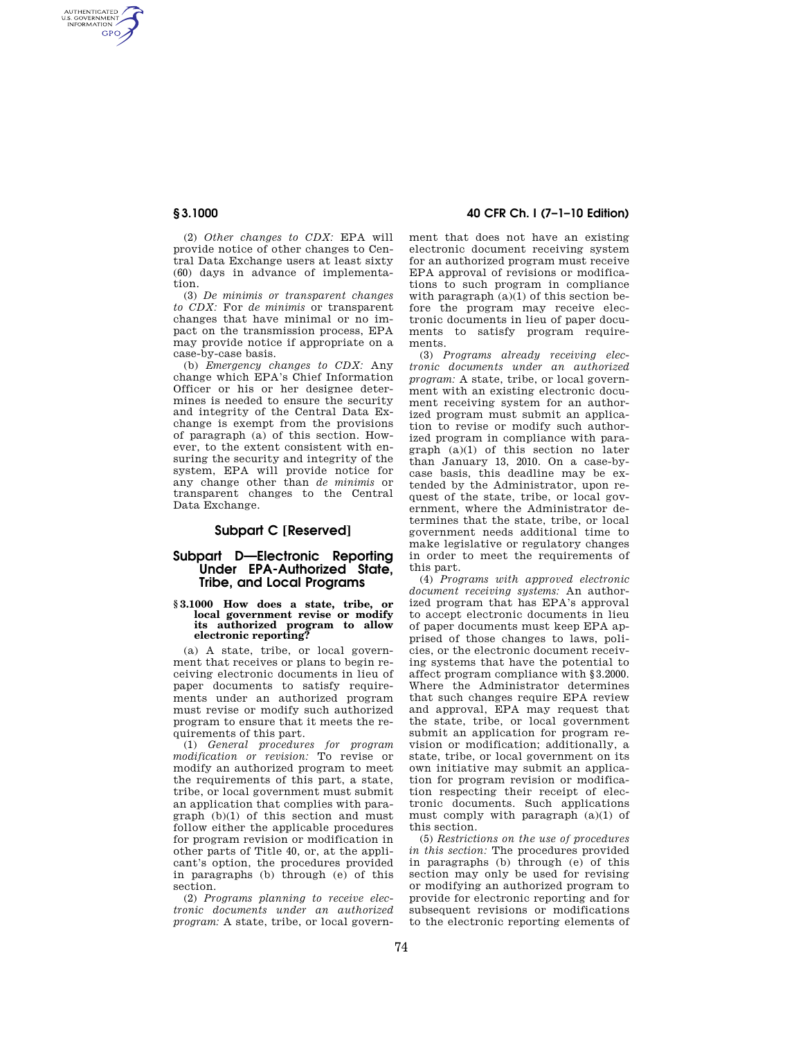AUTHENTICATED<br>U.S. GOVERNMENT<br>INFORMATION **GPO** 

> (2) *Other changes to CDX:* EPA will provide notice of other changes to Central Data Exchange users at least sixty (60) days in advance of implementation.

> (3) *De minimis or transparent changes to CDX:* For *de minimis* or transparent changes that have minimal or no impact on the transmission process, EPA may provide notice if appropriate on a case-by-case basis.

> (b) *Emergency changes to CDX:* Any change which EPA's Chief Information Officer or his or her designee determines is needed to ensure the security and integrity of the Central Data Exchange is exempt from the provisions of paragraph (a) of this section. However, to the extent consistent with ensuring the security and integrity of the system, EPA will provide notice for any change other than *de minimis* or transparent changes to the Central Data Exchange.

## **Subpart C [Reserved]**

### **Subpart D—Electronic Reporting Under EPA-Authorized State, Tribe, and Local Programs**

#### **§ 3.1000 How does a state, tribe, or local government revise or modify its authorized program to allow electronic reporting?**

(a) A state, tribe, or local government that receives or plans to begin receiving electronic documents in lieu of paper documents to satisfy requirements under an authorized program must revise or modify such authorized program to ensure that it meets the requirements of this part.

(1) *General procedures for program modification or revision:* To revise or modify an authorized program to meet the requirements of this part, a state, tribe, or local government must submit an application that complies with paragraph (b)(1) of this section and must follow either the applicable procedures for program revision or modification in other parts of Title 40, or, at the applicant's option, the procedures provided in paragraphs (b) through (e) of this section.

(2) *Programs planning to receive electronic documents under an authorized program:* A state, tribe, or local govern-

# **§ 3.1000 40 CFR Ch. I (7–1–10 Edition)**

ment that does not have an existing electronic document receiving system for an authorized program must receive EPA approval of revisions or modifications to such program in compliance with paragraph  $(a)(1)$  of this section before the program may receive electronic documents in lieu of paper documents to satisfy program requirements.

(3) *Programs already receiving electronic documents under an authorized program:* A state, tribe, or local government with an existing electronic document receiving system for an authorized program must submit an application to revise or modify such authorized program in compliance with paragraph (a)(1) of this section no later than January 13, 2010. On a case-bycase basis, this deadline may be extended by the Administrator, upon request of the state, tribe, or local government, where the Administrator determines that the state, tribe, or local government needs additional time to make legislative or regulatory changes in order to meet the requirements of this part.

(4) *Programs with approved electronic document receiving systems:* An authorized program that has EPA's approval to accept electronic documents in lieu of paper documents must keep EPA apprised of those changes to laws, policies, or the electronic document receiving systems that have the potential to affect program compliance with §3.2000. Where the Administrator determines that such changes require EPA review and approval, EPA may request that the state, tribe, or local government submit an application for program revision or modification; additionally, a state, tribe, or local government on its own initiative may submit an application for program revision or modification respecting their receipt of electronic documents. Such applications must comply with paragraph (a)(1) of this section.

(5) *Restrictions on the use of procedures in this section:* The procedures provided in paragraphs (b) through (e) of this section may only be used for revising or modifying an authorized program to provide for electronic reporting and for subsequent revisions or modifications to the electronic reporting elements of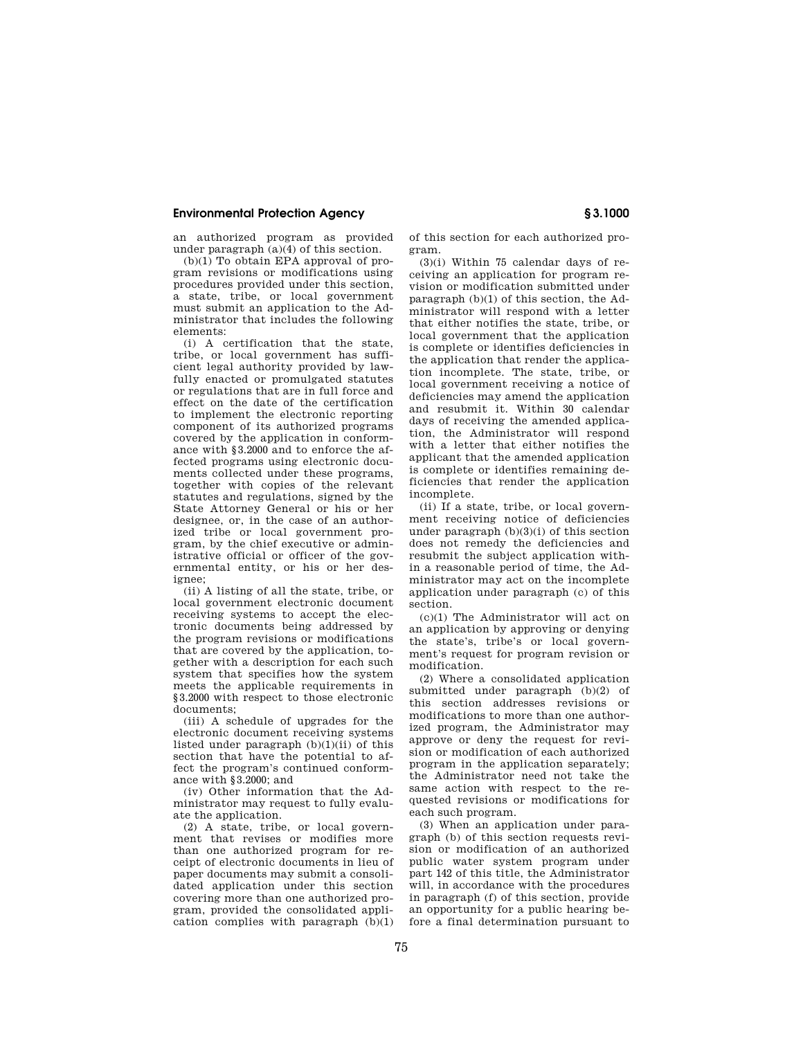#### **Environmental Protection Agency § 3.1000**

an authorized program as provided under paragraph (a)(4) of this section.

(b)(1) To obtain EPA approval of program revisions or modifications using procedures provided under this section, a state, tribe, or local government must submit an application to the Administrator that includes the following elements:

(i) A certification that the state, tribe, or local government has sufficient legal authority provided by lawfully enacted or promulgated statutes or regulations that are in full force and effect on the date of the certification to implement the electronic reporting component of its authorized programs covered by the application in conformance with §3.2000 and to enforce the affected programs using electronic documents collected under these programs, together with copies of the relevant statutes and regulations, signed by the State Attorney General or his or her designee, or, in the case of an authorized tribe or local government program, by the chief executive or administrative official or officer of the governmental entity, or his or her designee;

(ii) A listing of all the state, tribe, or local government electronic document receiving systems to accept the electronic documents being addressed by the program revisions or modifications that are covered by the application, together with a description for each such system that specifies how the system meets the applicable requirements in §3.2000 with respect to those electronic documents;

(iii) A schedule of upgrades for the electronic document receiving systems listed under paragraph  $(b)(1)(ii)$  of this section that have the potential to affect the program's continued conformance with §3.2000; and

(iv) Other information that the Administrator may request to fully evaluate the application.

(2) A state, tribe, or local government that revises or modifies more than one authorized program for receipt of electronic documents in lieu of paper documents may submit a consolidated application under this section covering more than one authorized program, provided the consolidated application complies with paragraph  $(b)(1)$ 

of this section for each authorized program.

(3)(i) Within 75 calendar days of receiving an application for program revision or modification submitted under paragraph (b)(1) of this section, the Administrator will respond with a letter that either notifies the state, tribe, or local government that the application is complete or identifies deficiencies in the application that render the application incomplete. The state, tribe, or local government receiving a notice of deficiencies may amend the application and resubmit it. Within 30 calendar days of receiving the amended application, the Administrator will respond with a letter that either notifies the applicant that the amended application is complete or identifies remaining deficiencies that render the application incomplete.

(ii) If a state, tribe, or local government receiving notice of deficiencies under paragraph (b)(3)(i) of this section does not remedy the deficiencies and resubmit the subject application within a reasonable period of time, the Administrator may act on the incomplete application under paragraph (c) of this section.

(c)(1) The Administrator will act on an application by approving or denying the state's, tribe's or local government's request for program revision or modification.

(2) Where a consolidated application submitted under paragraph (b)(2) of this section addresses revisions or modifications to more than one authorized program, the Administrator may approve or deny the request for revision or modification of each authorized program in the application separately; the Administrator need not take the same action with respect to the requested revisions or modifications for each such program.

(3) When an application under paragraph (b) of this section requests revision or modification of an authorized public water system program under part 142 of this title, the Administrator will, in accordance with the procedures in paragraph (f) of this section, provide an opportunity for a public hearing before a final determination pursuant to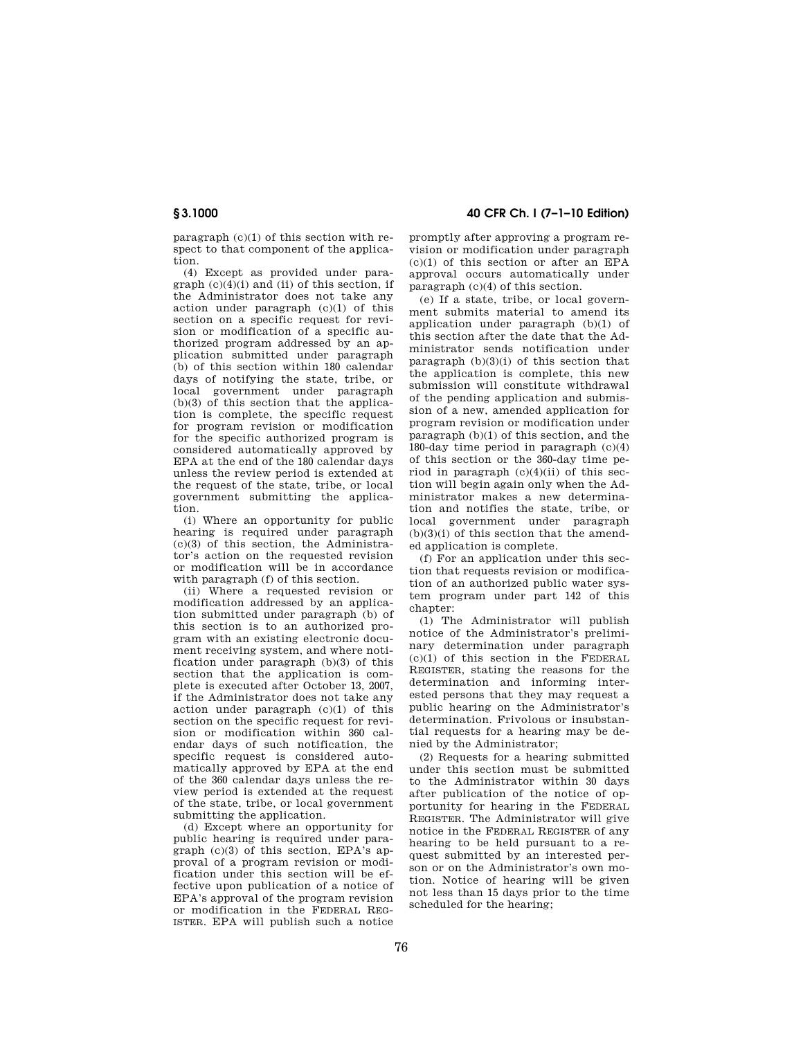paragraph (c)(1) of this section with respect to that component of the application.

(4) Except as provided under paragraph  $(c)(4)(i)$  and  $(ii)$  of this section, if the Administrator does not take any action under paragraph (c)(1) of this section on a specific request for revision or modification of a specific authorized program addressed by an application submitted under paragraph (b) of this section within 180 calendar days of notifying the state, tribe, or local government under paragraph (b)(3) of this section that the application is complete, the specific request for program revision or modification for the specific authorized program is considered automatically approved by EPA at the end of the 180 calendar days unless the review period is extended at the request of the state, tribe, or local government submitting the application.

(i) Where an opportunity for public hearing is required under paragraph (c)(3) of this section, the Administrator's action on the requested revision or modification will be in accordance with paragraph (f) of this section.

(ii) Where a requested revision or modification addressed by an application submitted under paragraph (b) of this section is to an authorized program with an existing electronic document receiving system, and where notification under paragraph  $(b)(3)$  of this section that the application is complete is executed after October 13, 2007, if the Administrator does not take any action under paragraph (c)(1) of this section on the specific request for revision or modification within 360 calendar days of such notification, the specific request is considered automatically approved by EPA at the end of the 360 calendar days unless the review period is extended at the request of the state, tribe, or local government submitting the application.

(d) Except where an opportunity for public hearing is required under paragraph (c)(3) of this section, EPA's approval of a program revision or modification under this section will be effective upon publication of a notice of EPA's approval of the program revision or modification in the FEDERAL REG-ISTER. EPA will publish such a notice

**§ 3.1000 40 CFR Ch. I (7–1–10 Edition)** 

promptly after approving a program revision or modification under paragraph  $(c)(1)$  of this section or after an EPA approval occurs automatically under paragraph (c)(4) of this section.

(e) If a state, tribe, or local government submits material to amend its application under paragraph (b)(1) of this section after the date that the Administrator sends notification under paragraph (b)(3)(i) of this section that the application is complete, this new submission will constitute withdrawal of the pending application and submission of a new, amended application for program revision or modification under paragraph (b)(1) of this section, and the 180-day time period in paragraph (c)(4) of this section or the 360-day time period in paragraph  $(c)(4)(ii)$  of this section will begin again only when the Administrator makes a new determination and notifies the state, tribe, or local government under paragraph  $(b)(3)(i)$  of this section that the amended application is complete.

(f) For an application under this section that requests revision or modification of an authorized public water system program under part 142 of this chapter:

(1) The Administrator will publish notice of the Administrator's preliminary determination under paragraph  $(c)(1)$  of this section in the FEDERAL REGISTER, stating the reasons for the determination and informing interested persons that they may request a public hearing on the Administrator's determination. Frivolous or insubstantial requests for a hearing may be denied by the Administrator;

(2) Requests for a hearing submitted under this section must be submitted to the Administrator within 30 days after publication of the notice of opportunity for hearing in the FEDERAL REGISTER. The Administrator will give notice in the FEDERAL REGISTER of any hearing to be held pursuant to a request submitted by an interested person or on the Administrator's own motion. Notice of hearing will be given not less than 15 days prior to the time scheduled for the hearing;